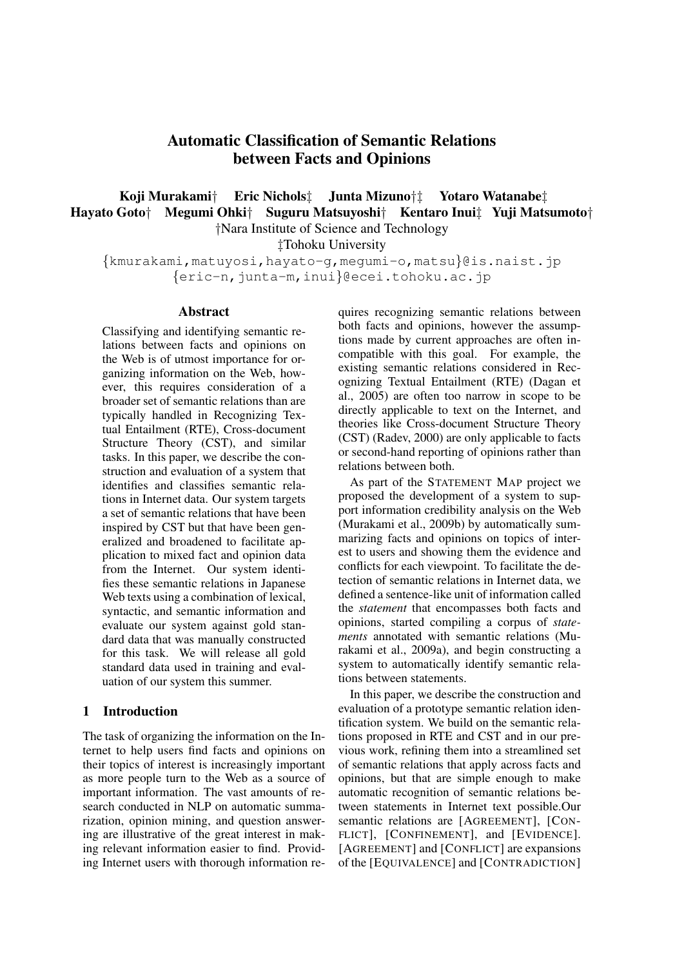# Automatic Classification of Semantic Relations between Facts and Opinions

## Koji Murakami*†* Eric Nichols*‡* Junta Mizuno*†‡* Yotaro Watanabe*‡* Hayato Goto*†* Megumi Ohki*†* Suguru Matsuyoshi*†* Kentaro Inui*‡* Yuji Matsumoto*† †*Nara Institute of Science and Technology

*‡*Tohoku University

*{*kmurakami,matuyosi,hayato-g,megumi-o,matsu*}*@is.naist.jp *{*eric-n,junta-m,inui*}*@ecei.tohoku.ac.jp

#### Abstract

Classifying and identifying semantic relations between facts and opinions on the Web is of utmost importance for organizing information on the Web, however, this requires consideration of a broader set of semantic relations than are typically handled in Recognizing Textual Entailment (RTE), Cross-document Structure Theory (CST), and similar tasks. In this paper, we describe the construction and evaluation of a system that identifies and classifies semantic relations in Internet data. Our system targets a set of semantic relations that have been inspired by CST but that have been generalized and broadened to facilitate application to mixed fact and opinion data from the Internet. Our system identifies these semantic relations in Japanese Web texts using a combination of lexical, syntactic, and semantic information and evaluate our system against gold standard data that was manually constructed for this task. We will release all gold standard data used in training and evaluation of our system this summer.

## 1 Introduction

The task of organizing the information on the Internet to help users find facts and opinions on their topics of interest is increasingly important as more people turn to the Web as a source of important information. The vast amounts of research conducted in NLP on automatic summarization, opinion mining, and question answering are illustrative of the great interest in making relevant information easier to find. Providing Internet users with thorough information requires recognizing semantic relations between both facts and opinions, however the assumptions made by current approaches are often incompatible with this goal. For example, the existing semantic relations considered in Recognizing Textual Entailment (RTE) (Dagan et al., 2005) are often too narrow in scope to be directly applicable to text on the Internet, and theories like Cross-document Structure Theory (CST) (Radev, 2000) are only applicable to facts or second-hand reporting of opinions rather than relations between both.

As part of the STATEMENT MAP project we proposed the development of a system to support information credibility analysis on the Web (Murakami et al., 2009b) by automatically summarizing facts and opinions on topics of interest to users and showing them the evidence and conflicts for each viewpoint. To facilitate the detection of semantic relations in Internet data, we defined a sentence-like unit of information called the *statement* that encompasses both facts and opinions, started compiling a corpus of *statements* annotated with semantic relations (Murakami et al., 2009a), and begin constructing a system to automatically identify semantic relations between statements.

In this paper, we describe the construction and evaluation of a prototype semantic relation identification system. We build on the semantic relations proposed in RTE and CST and in our previous work, refining them into a streamlined set of semantic relations that apply across facts and opinions, but that are simple enough to make automatic recognition of semantic relations between statements in Internet text possible.Our semantic relations are [AGREEMENT], [CON-FLICT], [CONFINEMENT], and [EVIDENCE]. [AGREEMENT] and [CONFLICT] are expansions of the [EQUIVALENCE] and [CONTRADICTION]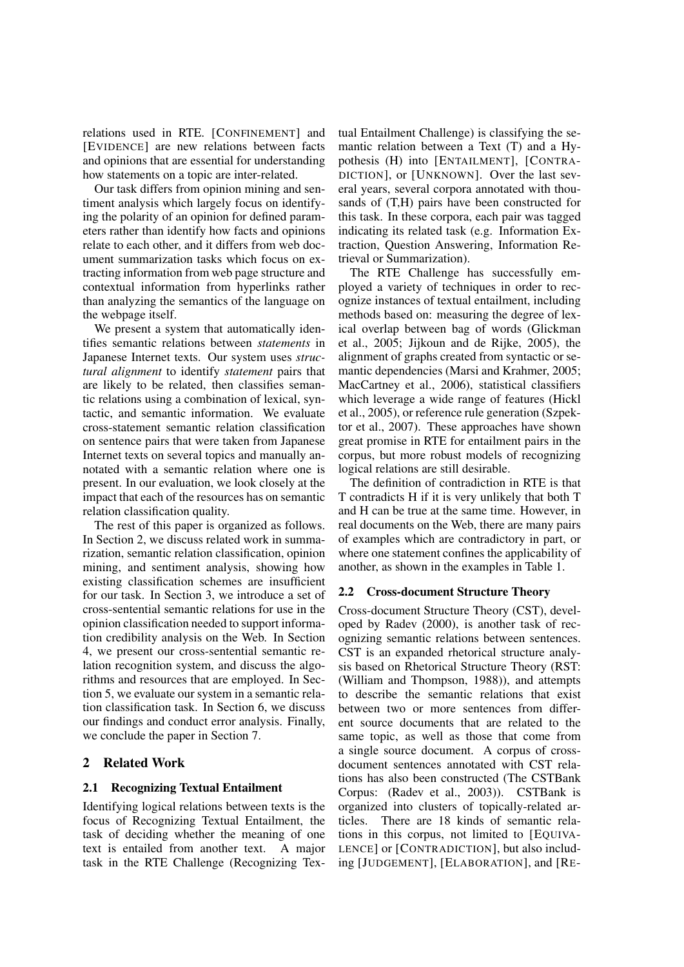relations used in RTE. [CONFINEMENT] and [EVIDENCE] are new relations between facts and opinions that are essential for understanding how statements on a topic are inter-related.

Our task differs from opinion mining and sentiment analysis which largely focus on identifying the polarity of an opinion for defined parameters rather than identify how facts and opinions relate to each other, and it differs from web document summarization tasks which focus on extracting information from web page structure and contextual information from hyperlinks rather than analyzing the semantics of the language on the webpage itself.

We present a system that automatically identifies semantic relations between *statements* in Japanese Internet texts. Our system uses *structural alignment* to identify *statement* pairs that are likely to be related, then classifies semantic relations using a combination of lexical, syntactic, and semantic information. We evaluate cross-statement semantic relation classification on sentence pairs that were taken from Japanese Internet texts on several topics and manually annotated with a semantic relation where one is present. In our evaluation, we look closely at the impact that each of the resources has on semantic relation classification quality.

The rest of this paper is organized as follows. In Section 2, we discuss related work in summarization, semantic relation classification, opinion mining, and sentiment analysis, showing how existing classification schemes are insufficient for our task. In Section 3, we introduce a set of cross-sentential semantic relations for use in the opinion classification needed to support information credibility analysis on the Web. In Section 4, we present our cross-sentential semantic relation recognition system, and discuss the algorithms and resources that are employed. In Section 5, we evaluate our system in a semantic relation classification task. In Section 6, we discuss our findings and conduct error analysis. Finally, we conclude the paper in Section 7.

### 2 Related Work

#### 2.1 Recognizing Textual Entailment

Identifying logical relations between texts is the focus of Recognizing Textual Entailment, the task of deciding whether the meaning of one text is entailed from another text. A major task in the RTE Challenge (Recognizing Textual Entailment Challenge) is classifying the semantic relation between a Text (T) and a Hypothesis (H) into [ENTAILMENT], [CONTRA-DICTION], or [UNKNOWN]. Over the last several years, several corpora annotated with thousands of (T,H) pairs have been constructed for this task. In these corpora, each pair was tagged indicating its related task (e.g. Information Extraction, Question Answering, Information Retrieval or Summarization).

The RTE Challenge has successfully employed a variety of techniques in order to recognize instances of textual entailment, including methods based on: measuring the degree of lexical overlap between bag of words (Glickman et al., 2005; Jijkoun and de Rijke, 2005), the alignment of graphs created from syntactic or semantic dependencies (Marsi and Krahmer, 2005; MacCartney et al., 2006), statistical classifiers which leverage a wide range of features (Hickl et al., 2005), or reference rule generation (Szpektor et al., 2007). These approaches have shown great promise in RTE for entailment pairs in the corpus, but more robust models of recognizing logical relations are still desirable.

The definition of contradiction in RTE is that T contradicts H if it is very unlikely that both T and H can be true at the same time. However, in real documents on the Web, there are many pairs of examples which are contradictory in part, or where one statement confines the applicability of another, as shown in the examples in Table 1.

#### 2.2 Cross-document Structure Theory

Cross-document Structure Theory (CST), developed by Radev (2000), is another task of recognizing semantic relations between sentences. CST is an expanded rhetorical structure analysis based on Rhetorical Structure Theory (RST: (William and Thompson, 1988)), and attempts to describe the semantic relations that exist between two or more sentences from different source documents that are related to the same topic, as well as those that come from a single source document. A corpus of crossdocument sentences annotated with CST relations has also been constructed (The CSTBank Corpus: (Radev et al., 2003)). CSTBank is organized into clusters of topically-related articles. There are 18 kinds of semantic relations in this corpus, not limited to [EQUIVA-LENCE] or [CONTRADICTION], but also including [JUDGEMENT], [ELABORATION], and [RE-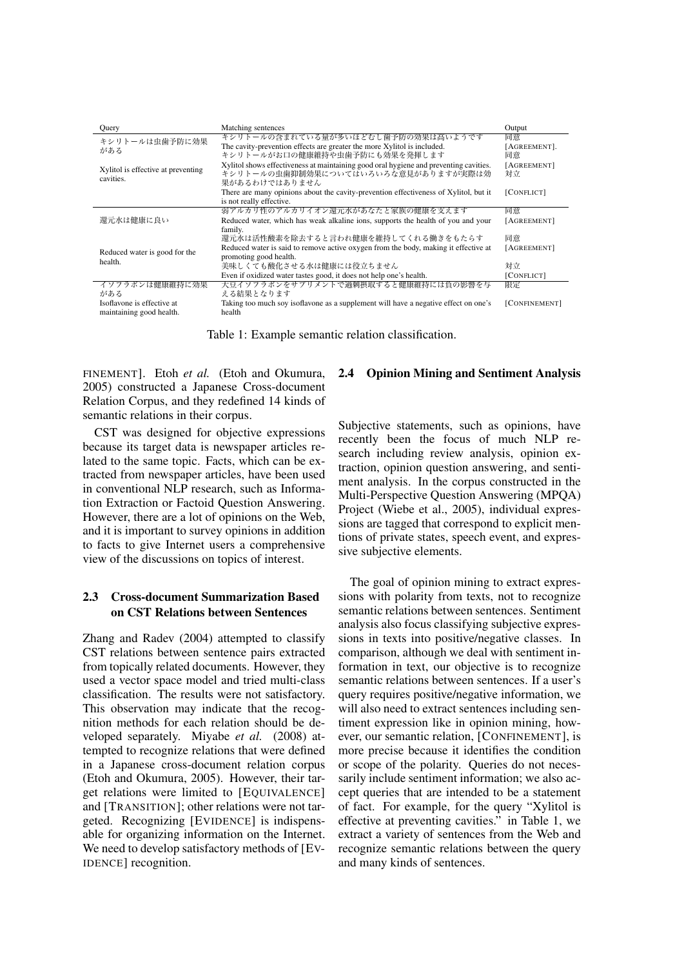| Ouery                                           | Matching sentences                                                                    | Output        |
|-------------------------------------------------|---------------------------------------------------------------------------------------|---------------|
| キシリトールは虫歯予防に効果<br>がある                           | キシリトールの含まれている量が多いほどむし歯予防の効果は高いようです                                                    | 同意            |
|                                                 | The cavity-prevention effects are greater the more Xylitol is included.               | [AGREEMENT].  |
|                                                 | キシリトールがお口の健康維持や虫歯予防にも効果を発揮します                                                         | 同意            |
| Xylitol is effective at preventing<br>cavities. | Xylitol shows effectiveness at maintaining good oral hygiene and preventing cavities. | [AGREEMENT]   |
|                                                 | キシリトールの虫歯抑制効果についてはいろいろな意見がありますが実際は効                                                   | 対立            |
|                                                 | 果があるわけではありません                                                                         |               |
|                                                 | There are many opinions about the cavity-prevention effectiveness of Xylitol, but it  | [CONFLICT]    |
|                                                 | is not really effective.                                                              |               |
| 還元水は健康に良い                                       | 弱アルカリ性のアルカリイオン還元水があなたと家族の健康を支えます                                                      | 同意            |
|                                                 | Reduced water, which has weak alkaline ions, supports the health of you and your      | [AGREEMENT]   |
|                                                 | family.                                                                               |               |
| Reduced water is good for the<br>health.        | 還元水は活性酸素を除去すると言われ健康を維持してくれる働きをもたらす                                                    | 同意            |
|                                                 | Reduced water is said to remove active oxygen from the body, making it effective at   | [AGREEMENT]   |
|                                                 | promoting good health.                                                                |               |
|                                                 | 美味しくても酸化させる水は健康には役立ちません                                                               | 対立            |
|                                                 | Even if oxidized water tastes good, it does not help one's health.                    | [CONFLICT]    |
| イソフラボンは健康維持に効果                                  | 大豆イソフラボンをサプリメントで過剰摂取すると健康維持には負の影響を与                                                   | 限定            |
| がある                                             | える結果となります                                                                             |               |
| Isoflavone is effective at                      | Taking too much soy isoflavone as a supplement will have a negative effect on one's   | [CONFINEMENT] |
| maintaining good health.                        | health                                                                                |               |

Table 1: Example semantic relation classification.

FINEMENT]. Etoh *et al.* (Etoh and Okumura, 2005) constructed a Japanese Cross-document Relation Corpus, and they redefined 14 kinds of semantic relations in their corpus.

CST was designed for objective expressions because its target data is newspaper articles related to the same topic. Facts, which can be extracted from newspaper articles, have been used in conventional NLP research, such as Information Extraction or Factoid Question Answering. However, there are a lot of opinions on the Web, and it is important to survey opinions in addition to facts to give Internet users a comprehensive view of the discussions on topics of interest.

### 2.3 Cross-document Summarization Based on CST Relations between Sentences

Zhang and Radev (2004) attempted to classify CST relations between sentence pairs extracted from topically related documents. However, they used a vector space model and tried multi-class classification. The results were not satisfactory. This observation may indicate that the recognition methods for each relation should be developed separately. Miyabe *et al.* (2008) attempted to recognize relations that were defined in a Japanese cross-document relation corpus (Etoh and Okumura, 2005). However, their target relations were limited to [EQUIVALENCE] and [TRANSITION]; other relations were not targeted. Recognizing [EVIDENCE] is indispensable for organizing information on the Internet. We need to develop satisfactory methods of [EV-IDENCE] recognition.

#### 2.4 Opinion Mining and Sentiment Analysis

Subjective statements, such as opinions, have recently been the focus of much NLP research including review analysis, opinion extraction, opinion question answering, and sentiment analysis. In the corpus constructed in the Multi-Perspective Question Answering (MPQA) Project (Wiebe et al., 2005), individual expressions are tagged that correspond to explicit mentions of private states, speech event, and expressive subjective elements.

The goal of opinion mining to extract expressions with polarity from texts, not to recognize semantic relations between sentences. Sentiment analysis also focus classifying subjective expressions in texts into positive/negative classes. In comparison, although we deal with sentiment information in text, our objective is to recognize semantic relations between sentences. If a user's query requires positive/negative information, we will also need to extract sentences including sentiment expression like in opinion mining, however, our semantic relation, [CONFINEMENT], is more precise because it identifies the condition or scope of the polarity. Queries do not necessarily include sentiment information; we also accept queries that are intended to be a statement of fact. For example, for the query "Xylitol is effective at preventing cavities." in Table 1, we extract a variety of sentences from the Web and recognize semantic relations between the query and many kinds of sentences.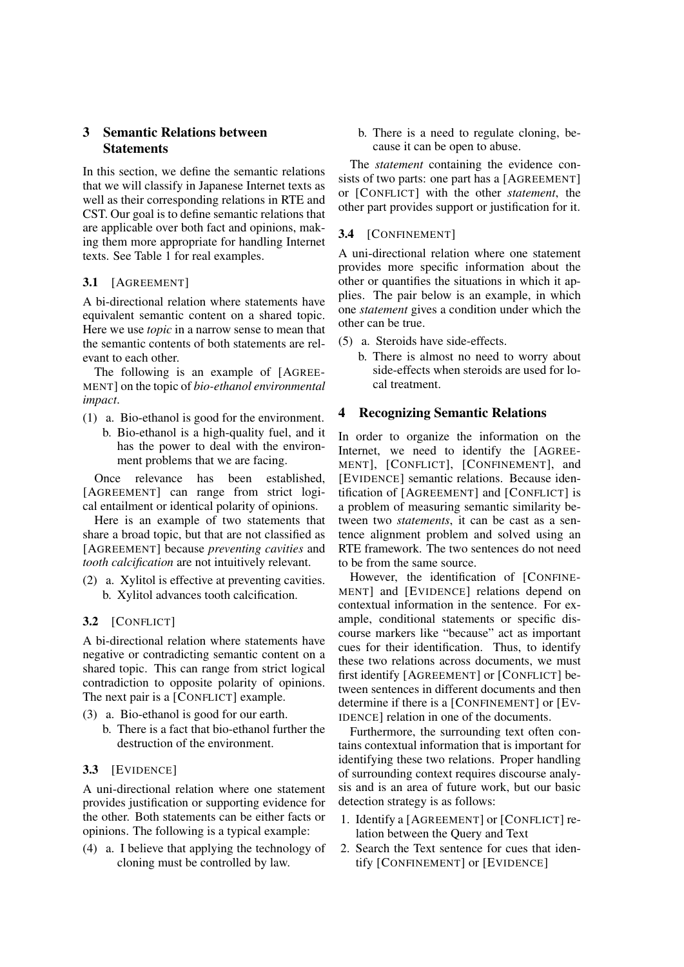## 3 Semantic Relations between **Statements**

In this section, we define the semantic relations that we will classify in Japanese Internet texts as well as their corresponding relations in RTE and CST. Our goal is to define semantic relations that are applicable over both fact and opinions, making them more appropriate for handling Internet texts. See Table 1 for real examples.

## 3.1 [AGREEMENT]

A bi-directional relation where statements have equivalent semantic content on a shared topic. Here we use *topic* in a narrow sense to mean that the semantic contents of both statements are relevant to each other.

The following is an example of [AGREE-MENT] on the topic of *bio-ethanol environmental impact*.

- (1) a. Bio-ethanol is good for the environment.
	- b. Bio-ethanol is a high-quality fuel, and it has the power to deal with the environment problems that we are facing.

Once relevance has been established, [AGREEMENT] can range from strict logical entailment or identical polarity of opinions.

Here is an example of two statements that share a broad topic, but that are not classified as [AGREEMENT] because *preventing cavities* and *tooth calcification* are not intuitively relevant.

(2) a. Xylitol is effective at preventing cavities. b. Xylitol advances tooth calcification.

### 3.2 [CONFLICT]

A bi-directional relation where statements have negative or contradicting semantic content on a shared topic. This can range from strict logical contradiction to opposite polarity of opinions. The next pair is a [CONFLICT] example.

- (3) a. Bio-ethanol is good for our earth.
	- b. There is a fact that bio-ethanol further the destruction of the environment.

## 3.3 [EVIDENCE]

A uni-directional relation where one statement provides justification or supporting evidence for the other. Both statements can be either facts or opinions. The following is a typical example:

(4) a. I believe that applying the technology of cloning must be controlled by law.

b. There is a need to regulate cloning, because it can be open to abuse.

The *statement* containing the evidence consists of two parts: one part has a [AGREEMENT] or [CONFLICT] with the other *statement*, the other part provides support or justification for it.

### 3.4 [CONFINEMENT]

A uni-directional relation where one statement provides more specific information about the other or quantifies the situations in which it applies. The pair below is an example, in which one *statement* gives a condition under which the other can be true.

- (5) a. Steroids have side-effects.
	- b. There is almost no need to worry about side-effects when steroids are used for local treatment.

## 4 Recognizing Semantic Relations

In order to organize the information on the Internet, we need to identify the [AGREE-MENT], [CONFLICT], [CONFINEMENT], and [EVIDENCE] semantic relations. Because identification of [AGREEMENT] and [CONFLICT] is a problem of measuring semantic similarity between two *statements*, it can be cast as a sentence alignment problem and solved using an RTE framework. The two sentences do not need to be from the same source.

However, the identification of [CONFINE-MENT] and [EVIDENCE] relations depend on contextual information in the sentence. For example, conditional statements or specific discourse markers like "because" act as important cues for their identification. Thus, to identify these two relations across documents, we must first identify [AGREEMENT] or [CONFLICT] between sentences in different documents and then determine if there is a [CONFINEMENT] or [EV-IDENCE] relation in one of the documents.

Furthermore, the surrounding text often contains contextual information that is important for identifying these two relations. Proper handling of surrounding context requires discourse analysis and is an area of future work, but our basic detection strategy is as follows:

- 1. Identify a [AGREEMENT] or [CONFLICT] relation between the Query and Text
- 2. Search the Text sentence for cues that identify [CONFINEMENT] or [EVIDENCE]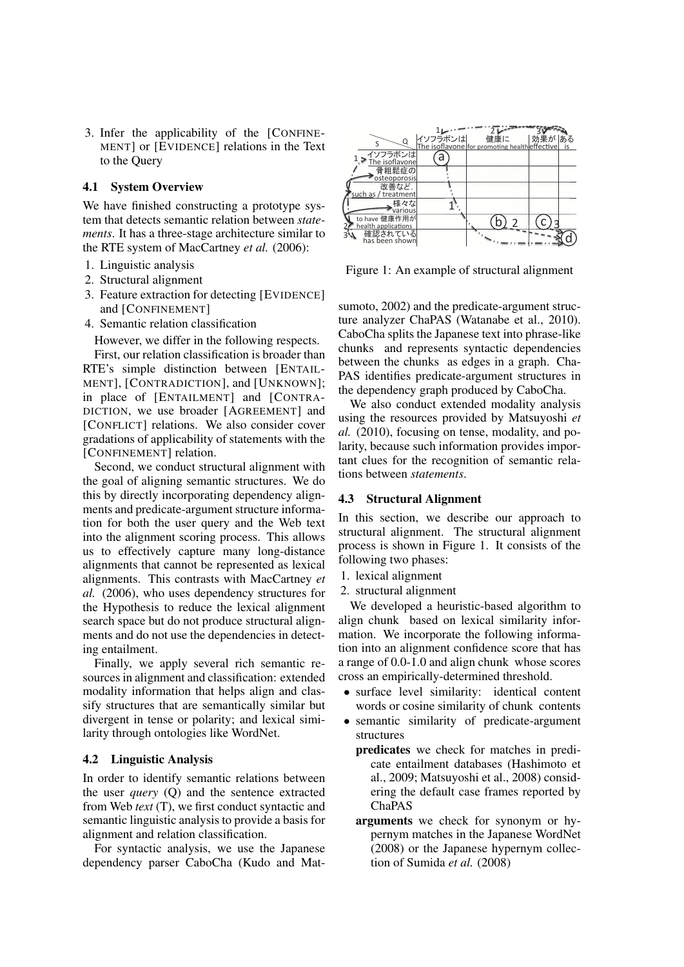3. Infer the applicability of the [CONFINE-MENT] or [EVIDENCE] relations in the Text to the Query

### 4.1 System Overview

We have finished constructing a prototype system that detects semantic relation between *statements*. It has a three-stage architecture similar to the RTE system of MacCartney *et al.* (2006):

- 1. Linguistic analysis
- 2. Structural alignment
- 3. Feature extraction for detecting [EVIDENCE] and [CONFINEMENT]
- 4. Semantic relation classification

However, we differ in the following respects.

First, our relation classification is broader than RTE's simple distinction between [ENTAIL-MENT], [CONTRADICTION], and [UNKNOWN]; in place of [ENTAILMENT] and [CONTRA-DICTION, we use broader [AGREEMENT] and [CONFLICT] relations. We also consider cover gradations of applicability of statements with the [CONFINEMENT] relation.

Second, we conduct structural alignment with the goal of aligning semantic structures. We do this by directly incorporating dependency alignments and predicate-argument structure information for both the user query and the Web text into the alignment scoring process. This allows us to effectively capture many long-distance alignments that cannot be represented as lexical alignments. This contrasts with MacCartney *et al.* (2006), who uses dependency structures for the Hypothesis to reduce the lexical alignment search space but do not produce structural alignments and do not use the dependencies in detecting entailment.

Finally, we apply several rich semantic resources in alignment and classification: extended modality information that helps align and classify structures that are semantically similar but divergent in tense or polarity; and lexical similarity through ontologies like WordNet.

#### 4.2 Linguistic Analysis

In order to identify semantic relations between the user *query* (Q) and the sentence extracted from Web *text* (T), we first conduct syntactic and semantic linguistic analysis to provide a basis for alignment and relation classification.

For syntactic analysis, we use the Japanese dependency parser CaboCha (Kudo and Mat-



Figure 1: An example of structural alignment

sumoto, 2002) and the predicate-argument structure analyzer ChaPAS (Watanabe et al., 2010). CaboCha splits the Japanese text into phrase-like chunks and represents syntactic dependencies between the chunks as edges in a graph. Cha-PAS identifies predicate-argument structures in the dependency graph produced by CaboCha.

We also conduct extended modality analysis using the resources provided by Matsuyoshi *et al.* (2010), focusing on tense, modality, and polarity, because such information provides important clues for the recognition of semantic relations between *statements*.

#### 4.3 Structural Alignment

In this section, we describe our approach to structural alignment. The structural alignment process is shown in Figure 1. It consists of the following two phases:

- 1. lexical alignment
- 2. structural alignment

We developed a heuristic-based algorithm to align chunk based on lexical similarity information. We incorporate the following information into an alignment confidence score that has a range of 0.0-1.0 and align chunk whose scores cross an empirically-determined threshold.

- surface level similarity: identical content words or cosine similarity of chunk contents
- *•* semantic similarity of predicate-argument structures
	- predicates we check for matches in predicate entailment databases (Hashimoto et al., 2009; Matsuyoshi et al., 2008) considering the default case frames reported by ChaPAS
	- arguments we check for synonym or hypernym matches in the Japanese WordNet (2008) or the Japanese hypernym collection of Sumida *et al.* (2008)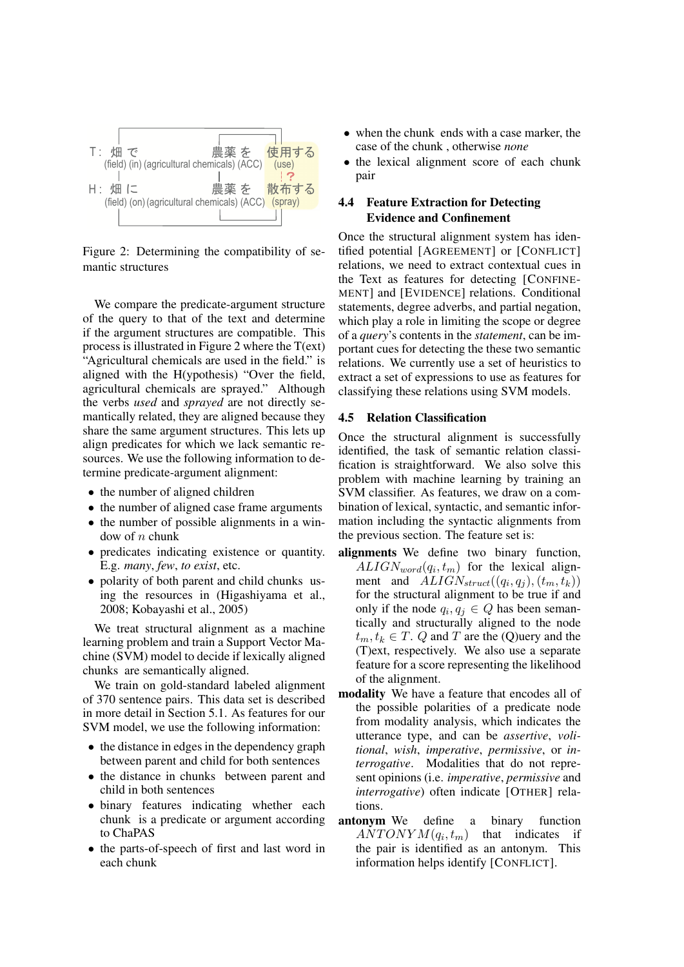

Figure 2: Determining the compatibility of semantic structures

We compare the predicate-argument structure of the query to that of the text and determine if the argument structures are compatible. This process is illustrated in Figure 2 where the T(ext) "Agricultural chemicals are used in the field." is aligned with the H(ypothesis) "Over the field, agricultural chemicals are sprayed." Although the verbs *used* and *sprayed* are not directly semantically related, they are aligned because they share the same argument structures. This lets up align predicates for which we lack semantic resources. We use the following information to determine predicate-argument alignment:

- the number of aligned children
- *•* the number of aligned case frame arguments
- the number of possible alignments in a window of *n* chunk
- predicates indicating existence or quantity. E.g. *many*, *few*, *to exist*, etc.
- polarity of both parent and child chunks using the resources in (Higashiyama et al., 2008; Kobayashi et al., 2005)

We treat structural alignment as a machine learning problem and train a Support Vector Machine (SVM) model to decide if lexically aligned chunks are semantically aligned.

We train on gold-standard labeled alignment of 370 sentence pairs. This data set is described in more detail in Section 5.1. As features for our SVM model, we use the following information:

- *•* the distance in edges in the dependency graph between parent and child for both sentences
- the distance in chunks between parent and child in both sentences
- binary features indicating whether each chunk is a predicate or argument according to ChaPAS
- the parts-of-speech of first and last word in each chunk
- *•* when the chunk ends with a case marker, the case of the chunk , otherwise *none*
- the lexical alignment score of each chunk pair

### 4.4 Feature Extraction for Detecting Evidence and Confinement

Once the structural alignment system has identified potential [AGREEMENT] or [CONFLICT] relations, we need to extract contextual cues in the Text as features for detecting [CONFINE-MENT] and [EVIDENCE] relations. Conditional statements, degree adverbs, and partial negation, which play a role in limiting the scope or degree of a *query*'s contents in the *statement*, can be important cues for detecting the these two semantic relations. We currently use a set of heuristics to extract a set of expressions to use as features for classifying these relations using SVM models.

#### 4.5 Relation Classification

Once the structural alignment is successfully identified, the task of semantic relation classification is straightforward. We also solve this problem with machine learning by training an SVM classifier. As features, we draw on a combination of lexical, syntactic, and semantic information including the syntactic alignments from the previous section. The feature set is:

- alignments We define two binary function,  $ALIGN_{word}(q_i, t_m)$  for the lexical alignment and  $ALIGN_{struct}((q_i, q_j), (t_m, t_k))$ for the structural alignment to be true if and only if the node  $q_i, q_j \in Q$  has been semantically and structurally aligned to the node  $t_m, t_k \in T$ . *Q* and *T* are the (*Q*)uery and the (T)ext, respectively. We also use a separate feature for a score representing the likelihood of the alignment.
- modality We have a feature that encodes all of the possible polarities of a predicate node from modality analysis, which indicates the utterance type, and can be *assertive*, *volitional*, *wish*, *imperative*, *permissive*, or *interrogative*. Modalities that do not represent opinions (i.e. *imperative*, *permissive* and *interrogative*) often indicate [OTHER] relations.
- antonym We define a binary function  $ANTONYM(q_i,t_m)$ that indicates if the pair is identified as an antonym. This information helps identify [CONFLICT].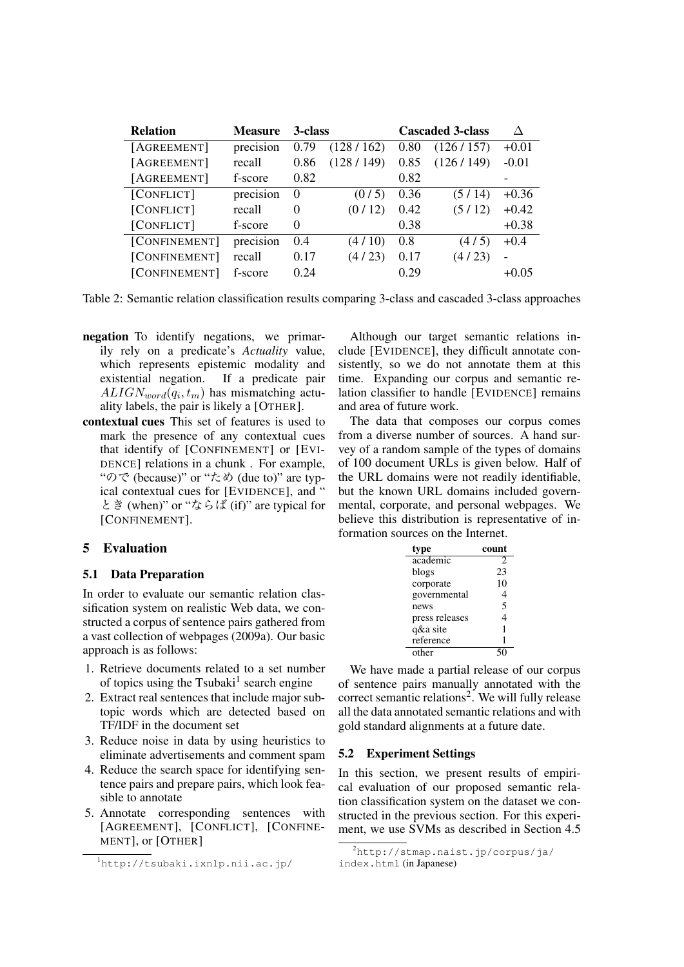| <b>Relation</b> | <b>Measure</b> | 3-class  |           |      | <b>Cascaded 3-class</b> |                          |
|-----------------|----------------|----------|-----------|------|-------------------------|--------------------------|
| [AGREEMENT]     | precision      | 0.79     | (128/162) | 0.80 | (126/157)               | $+0.01$                  |
| [AGREEMENT]     | recall         | 0.86     | (128/149) | 0.85 | (126/149)               | $-0.01$                  |
| [AGREEMENT]     | f-score        | 0.82     |           | 0.82 |                         |                          |
| [CONFLICT]      | precision      | $\Omega$ | (0/5)     | 0.36 | (5/14)                  | $+0.36$                  |
| [CONFLICT]      | recall         | $\theta$ | (0/12)    | 0.42 | (5/12)                  | $+0.42$                  |
| [CONFLICT]      | f-score        | $\theta$ |           | 0.38 |                         | $+0.38$                  |
| [CONFINEMENT]   | precision      | 0.4      | (4/10)    | 0.8  | (4/5)                   | $+0.4$                   |
| [CONFINEMENT]   | recall         | 0.17     | (4/23)    | 0.17 | (4/23)                  | $\overline{\phantom{0}}$ |
| [CONFINEMENT]   | f-score        | 0.24     |           | 0.29 |                         | $+0.05$                  |

Table 2: Semantic relation classification results comparing 3-class and cascaded 3-class approaches

- negation To identify negations, we primarily rely on a predicate's *Actuality* value, which represents epistemic modality and existential negation. If a predicate pair  $ALIGN_{word}(q_i, t_m)$  has mismatching actuality labels, the pair is likely a [OTHER].
- contextual cues This set of features is used to mark the presence of any contextual cues that identify of [CONFINEMENT] or [EVI-DENCE] relations in a chunk . For example, "ので (because)" or "ため (due to)" are typical contextual cues for [EVIDENCE], and " とき (when)" or "ならば (if)" are typical for [CONFINEMENT].

### 5 Evaluation

### 5.1 Data Preparation

In order to evaluate our semantic relation classification system on realistic Web data, we constructed a corpus of sentence pairs gathered from a vast collection of webpages (2009a). Our basic approach is as follows:

- 1. Retrieve documents related to a set number of topics using the Tsubaki<sup>1</sup> search engine
- 2. Extract real sentences that include major subtopic words which are detected based on TF/IDF in the document set
- 3. Reduce noise in data by using heuristics to eliminate advertisements and comment spam
- 4. Reduce the search space for identifying sentence pairs and prepare pairs, which look feasible to annotate
- 5. Annotate corresponding sentences with [AGREEMENT], [CONFLICT], [CONFINE-MENT], or [OTHER]

Although our target semantic relations include [EVIDENCE], they difficult annotate consistently, so we do not annotate them at this time. Expanding our corpus and semantic relation classifier to handle [EVIDENCE] remains and area of future work.

The data that composes our corpus comes from a diverse number of sources. A hand survey of a random sample of the types of domains of 100 document URLs is given below. Half of the URL domains were not readily identifiable, but the known URL domains included governmental, corporate, and personal webpages. We believe this distribution is representative of information sources on the Internet.

| type           | count                   |
|----------------|-------------------------|
| academic       | 2                       |
| blogs          | 23                      |
| corporate      | 10                      |
| governmental   | 4                       |
| news           | $\overline{\mathbf{5}}$ |
| press releases | 4                       |
| q&a site       | 1                       |
| reference      | 1                       |
| other          |                         |

We have made a partial release of our corpus of sentence pairs manually annotated with the correct semantic relations<sup>2</sup>. We will fully release all the data annotated semantic relations and with gold standard alignments at a future date.

#### 5.2 Experiment Settings

In this section, we present results of empirical evaluation of our proposed semantic relation classification system on the dataset we constructed in the previous section. For this experiment, we use SVMs as described in Section 4.5

 $<sup>1</sup>$ http://tsubaki.ixnlp.nii.ac.jp/</sup>

 $^{2}$ http://stmap.naist.jp/corpus/ja/ index.html (in Japanese)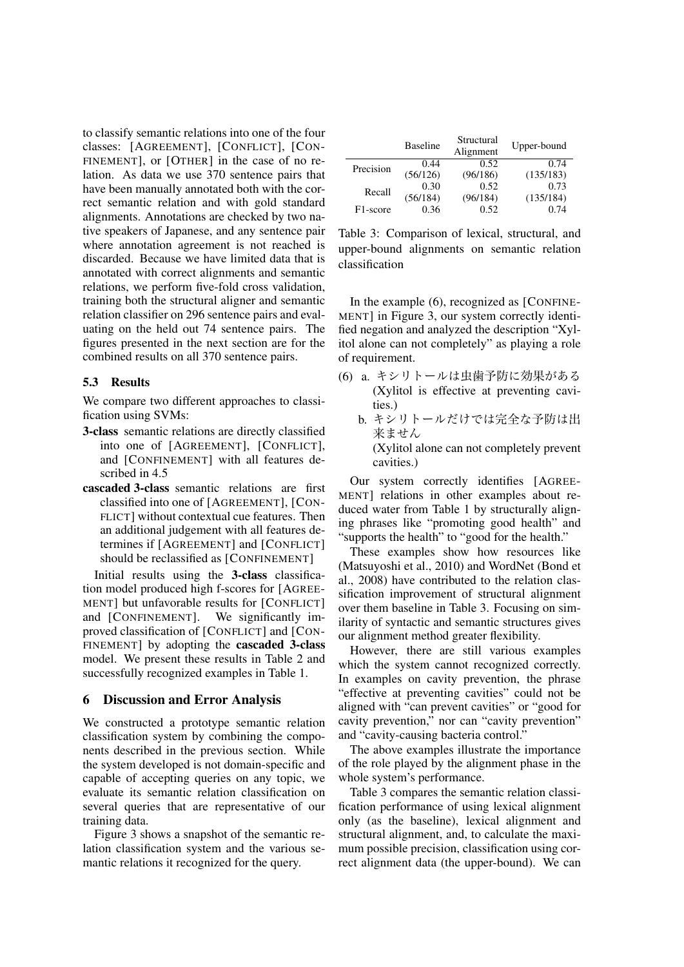to classify semantic relations into one of the four classes: [AGREEMENT], [CONFLICT], [CON-FINEMENT], or [OTHER] in the case of no relation. As data we use 370 sentence pairs that have been manually annotated both with the correct semantic relation and with gold standard alignments. Annotations are checked by two native speakers of Japanese, and any sentence pair where annotation agreement is not reached is discarded. Because we have limited data that is annotated with correct alignments and semantic relations, we perform five-fold cross validation, training both the structural aligner and semantic relation classifier on 296 sentence pairs and evaluating on the held out 74 sentence pairs. The figures presented in the next section are for the combined results on all 370 sentence pairs.

#### 5.3 Results

We compare two different approaches to classification using SVMs:

- 3-class semantic relations are directly classified into one of [AGREEMENT], [CONFLICT], and [CONFINEMENT] with all features described in 4.5
- cascaded 3-class semantic relations are first classified into one of [AGREEMENT], [CON-FLICT] without contextual cue features. Then an additional judgement with all features determines if [AGREEMENT] and [CONFLICT] should be reclassified as [CONFINEMENT]

Initial results using the 3-class classification model produced high f-scores for [AGREE-MENT] but unfavorable results for [CONFLICT] and [CONFINEMENT]. We significantly improved classification of [CONFLICT] and [CON-FINEMENT] by adopting the cascaded 3-class model. We present these results in Table 2 and successfully recognized examples in Table 1.

### 6 Discussion and Error Analysis

We constructed a prototype semantic relation classification system by combining the components described in the previous section. While the system developed is not domain-specific and capable of accepting queries on any topic, we evaluate its semantic relation classification on several queries that are representative of our training data.

Figure 3 shows a snapshot of the semantic relation classification system and the various semantic relations it recognized for the query.

|           | <b>Baseline</b> | Structural<br>Alignment | Upper-bound |
|-----------|-----------------|-------------------------|-------------|
| Precision | 0.44            | 0.52                    | 0.74        |
|           | (56/126)        | (96/186)                | (135/183)   |
| Recall    | 0.30            | 0.52                    | 0.73        |
|           | (56/184)        | (96/184)                | (135/184)   |
| F1-score  | 0.36            | 0.52                    | 0.74        |

Table 3: Comparison of lexical, structural, and upper-bound alignments on semantic relation classification

In the example (6), recognized as [CONFINE-MENT] in Figure 3, our system correctly identified negation and analyzed the description "Xylitol alone can not completely" as playing a role of requirement.

- (6) a. キシリトールは虫歯予防に効果がある (Xylitol is effective at preventing cavities.)
	- b. キシリトールだけでは完全な予防は出 来ません (Xylitol alone can not completely prevent cavities.)

Our system correctly identifies [AGREE-MENT] relations in other examples about reduced water from Table 1 by structurally aligning phrases like "promoting good health" and "supports the health" to "good for the health."

These examples show how resources like (Matsuyoshi et al., 2010) and WordNet (Bond et al., 2008) have contributed to the relation classification improvement of structural alignment over them baseline in Table 3. Focusing on similarity of syntactic and semantic structures gives our alignment method greater flexibility.

However, there are still various examples which the system cannot recognized correctly. In examples on cavity prevention, the phrase "effective at preventing cavities" could not be aligned with "can prevent cavities" or "good for cavity prevention," nor can "cavity prevention" and "cavity-causing bacteria control."

The above examples illustrate the importance of the role played by the alignment phase in the whole system's performance.

Table 3 compares the semantic relation classification performance of using lexical alignment only (as the baseline), lexical alignment and structural alignment, and, to calculate the maximum possible precision, classification using correct alignment data (the upper-bound). We can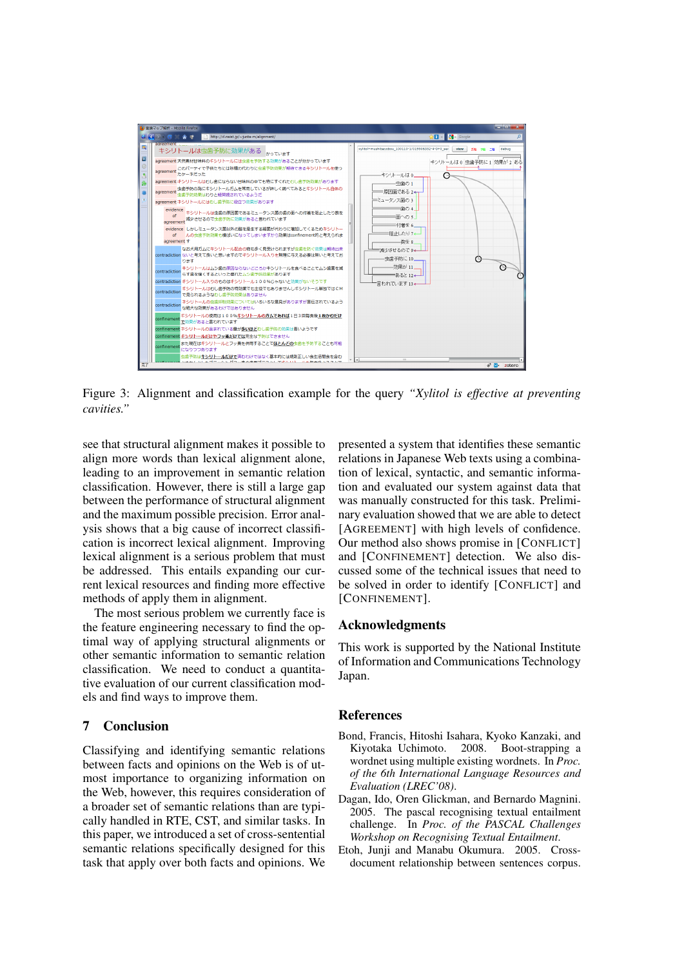

Figure 3: Alignment and classification example for the query *"Xylitol is effective at preventing cavities."*

see that structural alignment makes it possible to align more words than lexical alignment alone, leading to an improvement in semantic relation classification. However, there is still a large gap between the performance of structural alignment and the maximum possible precision. Error analysis shows that a big cause of incorrect classification is incorrect lexical alignment. Improving lexical alignment is a serious problem that must be addressed. This entails expanding our current lexical resources and finding more effective methods of apply them in alignment.

The most serious problem we currently face is the feature engineering necessary to find the optimal way of applying structural alignments or other semantic information to semantic relation classification. We need to conduct a quantitative evaluation of our current classification models and find ways to improve them.

### 7 Conclusion

Classifying and identifying semantic relations between facts and opinions on the Web is of utmost importance to organizing information on the Web, however, this requires consideration of a broader set of semantic relations than are typically handled in RTE, CST, and similar tasks. In this paper, we introduced a set of cross-sentential semantic relations specifically designed for this task that apply over both facts and opinions. We presented a system that identifies these semantic relations in Japanese Web texts using a combination of lexical, syntactic, and semantic information and evaluated our system against data that was manually constructed for this task. Preliminary evaluation showed that we are able to detect [AGREEMENT] with high levels of confidence. Our method also shows promise in [CONFLICT] and [CONFINEMENT] detection. We also discussed some of the technical issues that need to be solved in order to identify [CONFLICT] and [CONFINEMENT].

#### Acknowledgments

This work is supported by the National Institute of Information and Communications Technology Japan.

### References

- Bond, Francis, Hitoshi Isahara, Kyoko Kanzaki, and Kiyotaka Uchimoto. 2008. wordnet using multiple existing wordnets. In *Proc. of the 6th International Language Resources and Evaluation (LREC'08)*.
- Dagan, Ido, Oren Glickman, and Bernardo Magnini. 2005. The pascal recognising textual entailment challenge. In *Proc. of the PASCAL Challenges Workshop on Recognising Textual Entailment*.
- Etoh, Junji and Manabu Okumura. 2005. Crossdocument relationship between sentences corpus.